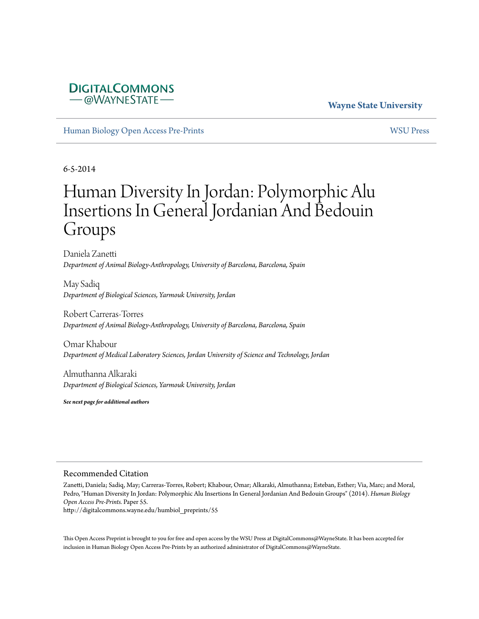## **DIGITALCOMMONS** - @WAYNESTATE

## **Wayne State University**

[Human Biology Open Access Pre-Prints](http://digitalcommons.wayne.edu/humbiol_preprints) [WSU Press](http://digitalcommons.wayne.edu/wsupress)

6-5-2014

# Human Diversity In Jordan: Polymorphic Alu Insertions In General Jordanian And Bedouin Groups

Daniela Zanetti *Department of Animal Biology-Anthropology, University of Barcelona, Barcelona, Spain*

May Sadiq *Department of Biological Sciences, Yarmouk University, Jordan*

Robert Carreras-Torres *Department of Animal Biology-Anthropology, University of Barcelona, Barcelona, Spain*

Omar Khabour *Department of Medical Laboratory Sciences, Jordan University of Science and Technology, Jordan*

Almuthanna Alkaraki *Department of Biological Sciences, Yarmouk University, Jordan*

*See next page for additional authors*

### Recommended Citation

Zanetti, Daniela; Sadiq, May; Carreras-Torres, Robert; Khabour, Omar; Alkaraki, Almuthanna; Esteban, Esther; Via, Marc; and Moral, Pedro, "Human Diversity In Jordan: Polymorphic Alu Insertions In General Jordanian And Bedouin Groups" (2014). *Human Biology Open Access Pre-Prints.* Paper 55.

http://digitalcommons.wayne.edu/humbiol\_preprints/55

This Open Access Preprint is brought to you for free and open access by the WSU Press at DigitalCommons@WayneState. It has been accepted for inclusion in Human Biology Open Access Pre-Prints by an authorized administrator of DigitalCommons@WayneState.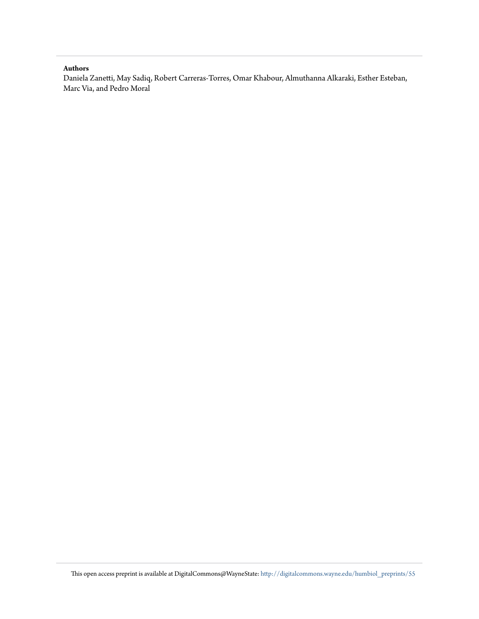#### **Authors**

Daniela Zanetti, May Sadiq, Robert Carreras-Torres, Omar Khabour, Almuthanna Alkaraki, Esther Esteban, Marc Via, and Pedro Moral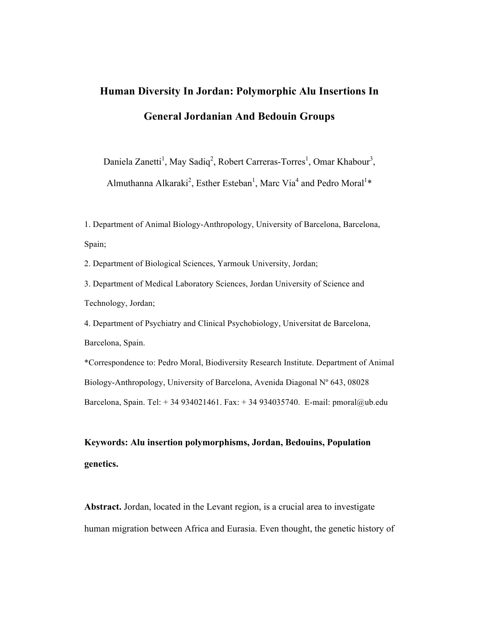# **Human Diversity In Jordan: Polymorphic Alu Insertions In General Jordanian And Bedouin Groups**

Daniela Zanetti<sup>1</sup>, May Sadiq<sup>2</sup>, Robert Carreras-Torres<sup>1</sup>, Omar Khabour<sup>3</sup>,

Almuthanna Alkaraki<sup>2</sup>, Esther Esteban<sup>1</sup>, Marc Via<sup>4</sup> and Pedro Moral<sup>1\*</sup>

1. Department of Animal Biology-Anthropology, University of Barcelona, Barcelona, Spain;

2. Department of Biological Sciences, Yarmouk University, Jordan;

3. Department of Medical Laboratory Sciences, Jordan University of Science and Technology, Jordan;

4. Department of Psychiatry and Clinical Psychobiology, Universitat de Barcelona, Barcelona, Spain.

\*Correspondence to: Pedro Moral, Biodiversity Research Institute. Department of Animal Biology-Anthropology, University of Barcelona, Avenida Diagonal Nº 643, 08028 Barcelona, Spain. Tel:  $+34934021461$ . Fax:  $+34934035740$ . E-mail: pmoral@ub.edu

# **Keywords: Alu insertion polymorphisms, Jordan, Bedouins, Population genetics.**

**Abstract.** Jordan, located in the Levant region, is a crucial area to investigate human migration between Africa and Eurasia. Even thought, the genetic history of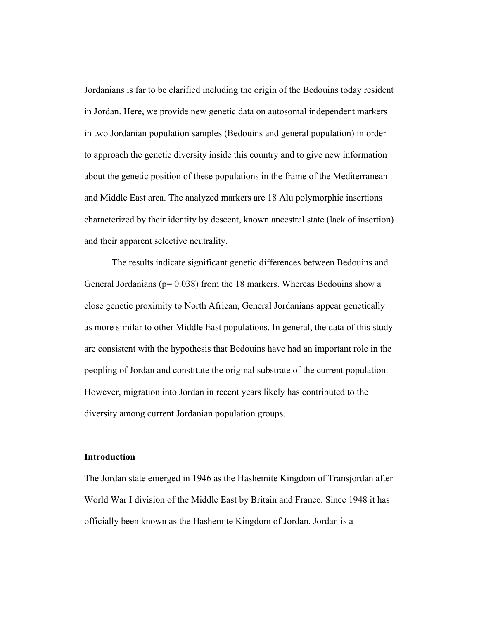Jordanians is far to be clarified including the origin of the Bedouins today resident in Jordan. Here, we provide new genetic data on autosomal independent markers in two Jordanian population samples (Bedouins and general population) in order to approach the genetic diversity inside this country and to give new information about the genetic position of these populations in the frame of the Mediterranean and Middle East area. The analyzed markers are 18 Alu polymorphic insertions characterized by their identity by descent, known ancestral state (lack of insertion) and their apparent selective neutrality.

The results indicate significant genetic differences between Bedouins and General Jordanians ( $p= 0.038$ ) from the 18 markers. Whereas Bedouins show a close genetic proximity to North African, General Jordanians appear genetically as more similar to other Middle East populations. In general, the data of this study are consistent with the hypothesis that Bedouins have had an important role in the peopling of Jordan and constitute the original substrate of the current population. However, migration into Jordan in recent years likely has contributed to the diversity among current Jordanian population groups.

### **Introduction**

The Jordan state emerged in 1946 as the Hashemite Kingdom of Transjordan after World War I division of the Middle East by Britain and France. Since 1948 it has officially been known as the Hashemite Kingdom of Jordan. Jordan is a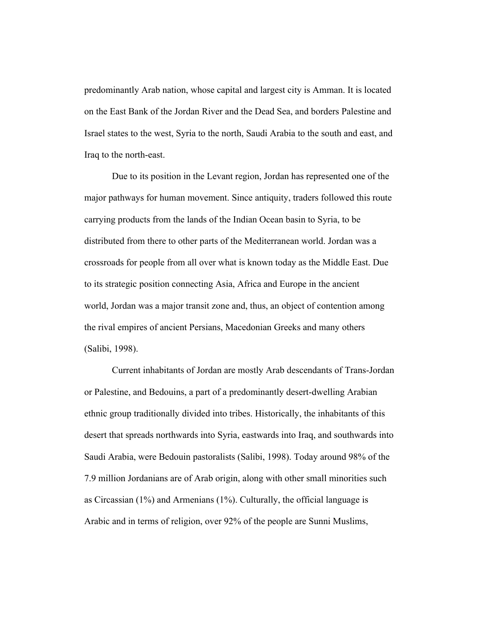predominantly Arab nation, whose capital and largest city is Amman. It is located on the East Bank of the Jordan River and the Dead Sea, and borders Palestine and Israel states to the west, Syria to the north, Saudi Arabia to the south and east, and Iraq to the north-east.

Due to its position in the Levant region, Jordan has represented one of the major pathways for human movement. Since antiquity, traders followed this route carrying products from the lands of the Indian Ocean basin to Syria, to be distributed from there to other parts of the Mediterranean world. Jordan was a crossroads for people from all over what is known today as the Middle East. Due to its strategic position connecting Asia, Africa and Europe in the ancient world, Jordan was a major transit zone and, thus, an object of contention among the rival empires of ancient Persians, Macedonian Greeks and many others (Salibi, 1998).

Current inhabitants of Jordan are mostly Arab descendants of Trans-Jordan or Palestine, and Bedouins, a part of a predominantly desert-dwelling Arabian ethnic group traditionally divided into tribes. Historically, the inhabitants of this desert that spreads northwards into Syria, eastwards into Iraq, and southwards into Saudi Arabia, were Bedouin pastoralists (Salibi, 1998). Today around 98% of the 7.9 million Jordanians are of Arab origin, along with other small minorities such as Circassian (1%) and Armenians (1%). Culturally, the official language is Arabic and in terms of religion, over 92% of the people are Sunni Muslims,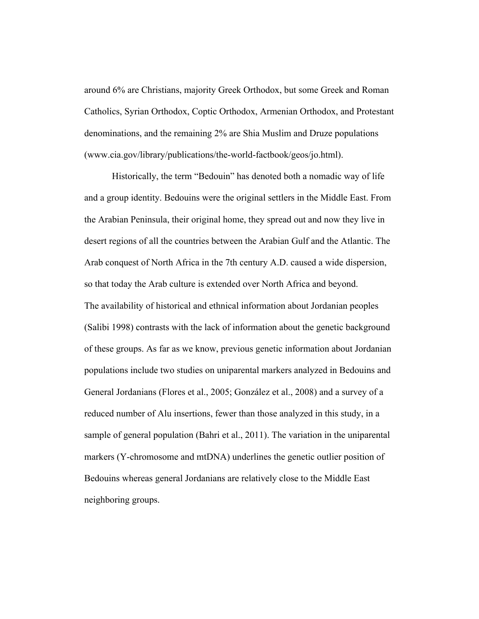around 6% are Christians, majority Greek Orthodox, but some Greek and Roman Catholics, Syrian Orthodox, Coptic Orthodox, Armenian Orthodox, and Protestant denominations, and the remaining 2% are Shia Muslim and Druze populations (www.cia.gov/library/publications/the-world-factbook/geos/jo.html).

Historically, the term "Bedouin" has denoted both a nomadic way of life and a group identity. Bedouins were the original settlers in the Middle East. From the Arabian Peninsula, their original home, they spread out and now they live in desert regions of all the countries between the Arabian Gulf and the Atlantic. The Arab conquest of North Africa in the 7th century A.D. caused a wide dispersion, so that today the Arab culture is extended over North Africa and beyond. The availability of historical and ethnical information about Jordanian peoples (Salibi 1998) contrasts with the lack of information about the genetic background of these groups. As far as we know, previous genetic information about Jordanian populations include two studies on uniparental markers analyzed in Bedouins and General Jordanians (Flores et al., 2005; González et al., 2008) and a survey of a reduced number of Alu insertions, fewer than those analyzed in this study, in a sample of general population (Bahri et al., 2011). The variation in the uniparental markers (Y-chromosome and mtDNA) underlines the genetic outlier position of Bedouins whereas general Jordanians are relatively close to the Middle East neighboring groups.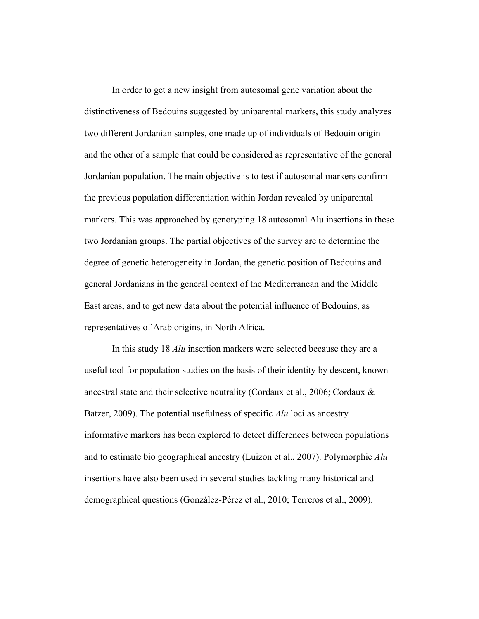In order to get a new insight from autosomal gene variation about the distinctiveness of Bedouins suggested by uniparental markers, this study analyzes two different Jordanian samples, one made up of individuals of Bedouin origin and the other of a sample that could be considered as representative of the general Jordanian population. The main objective is to test if autosomal markers confirm the previous population differentiation within Jordan revealed by uniparental markers. This was approached by genotyping 18 autosomal Alu insertions in these two Jordanian groups. The partial objectives of the survey are to determine the degree of genetic heterogeneity in Jordan, the genetic position of Bedouins and general Jordanians in the general context of the Mediterranean and the Middle East areas, and to get new data about the potential influence of Bedouins, as representatives of Arab origins, in North Africa.

In this study 18 *Alu* insertion markers were selected because they are a useful tool for population studies on the basis of their identity by descent, known ancestral state and their selective neutrality (Cordaux et al., 2006; Cordaux & Batzer, 2009). The potential usefulness of specific *Alu* loci as ancestry informative markers has been explored to detect differences between populations and to estimate bio geographical ancestry (Luizon et al., 2007). Polymorphic *Alu* insertions have also been used in several studies tackling many historical and demographical questions (González-Pérez et al., 2010; Terreros et al., 2009).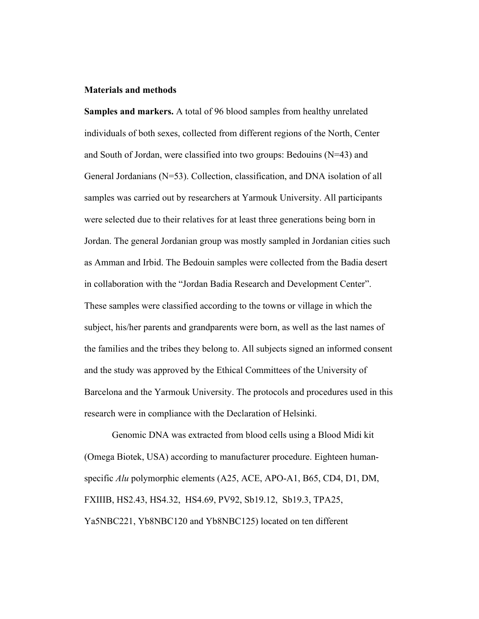### **Materials and methods**

**Samples and markers.** A total of 96 blood samples from healthy unrelated individuals of both sexes, collected from different regions of the North, Center and South of Jordan, were classified into two groups: Bedouins (N=43) and General Jordanians (N=53). Collection, classification, and DNA isolation of all samples was carried out by researchers at Yarmouk University. All participants were selected due to their relatives for at least three generations being born in Jordan. The general Jordanian group was mostly sampled in Jordanian cities such as Amman and Irbid. The Bedouin samples were collected from the Badia desert in collaboration with the "Jordan Badia Research and Development Center". These samples were classified according to the towns or village in which the subject, his/her parents and grandparents were born, as well as the last names of the families and the tribes they belong to. All subjects signed an informed consent and the study was approved by the Ethical Committees of the University of Barcelona and the Yarmouk University. The protocols and procedures used in this research were in compliance with the Declaration of Helsinki.

Genomic DNA was extracted from blood cells using a Blood Midi kit (Omega Biotek, USA) according to manufacturer procedure. Eighteen humanspecific *Alu* polymorphic elements (A25, ACE, APO-A1, B65, CD4, D1, DM, FXIIIB, HS2.43, HS4.32, HS4.69, PV92, Sb19.12, Sb19.3, TPA25, Ya5NBC221, Yb8NBC120 and Yb8NBC125) located on ten different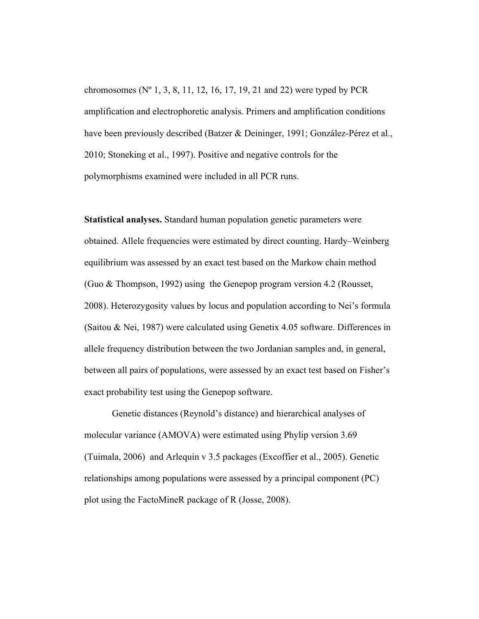chromosomes (Nº 1, 3, 8, 11, 12, 16, 17, 19, 21 and 22) were typed by PCR amplification and electrophoretic analysis. Primers and amplification conditions have been previously described (Batzer & Deininger, 1991; González-Pérez et al., 2010; Stoneking et al., 1997). Positive and negative controls for the polymorphisms examined were included in all PCR runs.

**Statistical analyses.** Standard human population genetic parameters were obtained. Allele frequencies were estimated by direct counting. Hardy–Weinberg equilibrium was assessed by an exact test based on the Markow chain method (Guo & Thompson, 1992) using the Genepop program version 4.2 (Rousset, 2008). Heterozygosity values by locus and population according to Nei's formula (Saitou & Nei, 1987) were calculated using Genetix 4.05 software. Differences in allele frequency distribution between the two Jordanian samples and, in general, between all pairs of populations, were assessed by an exact test based on Fisher's exact probability test using the Genepop software.

Genetic distances (Reynold's distance) and hierarchical analyses of molecular variance (AMOVA) were estimated using Phylip version 3.69 (Tuimala, 2006) and Arlequin v 3.5 packages (Excoffier et al., 2005). Genetic relationships among populations were assessed by a principal component (PC) plot using the FactoMineR package of R (Josse, 2008).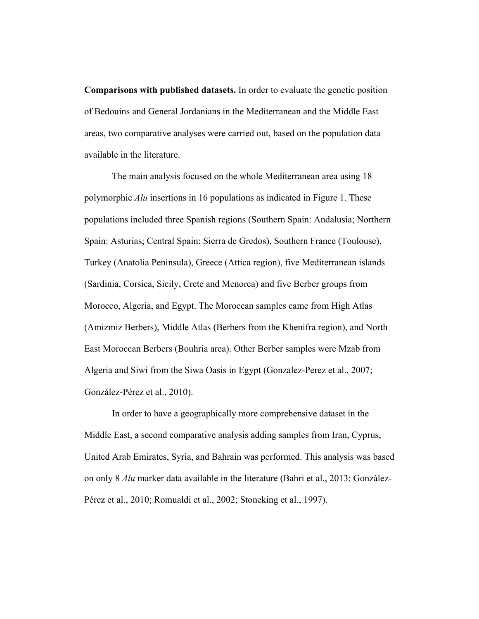**Comparisons with published datasets.** In order to evaluate the genetic position of Bedouins and General Jordanians in the Mediterranean and the Middle East areas, two comparative analyses were carried out, based on the population data available in the literature.

The main analysis focused on the whole Mediterranean area using 18 polymorphic *Alu* insertions in 16 populations as indicated in Figure 1. These populations included three Spanish regions (Southern Spain: Andalusia; Northern Spain: Asturias; Central Spain: Sierra de Gredos), Southern France (Toulouse), Turkey (Anatolia Peninsula), Greece (Attica region), five Mediterranean islands (Sardinia, Corsica, Sicily, Crete and Menorca) and five Berber groups from Morocco, Algeria, and Egypt. The Moroccan samples came from High Atlas (Amizmiz Berbers), Middle Atlas (Berbers from the Khenifra region), and North East Moroccan Berbers (Bouhria area). Other Berber samples were Mzab from Algeria and Siwi from the Siwa Oasis in Egypt (Gonzalez-Perez et al., 2007; González-Pérez et al., 2010).

In order to have a geographically more comprehensive dataset in the Middle East, a second comparative analysis adding samples from Iran, Cyprus, United Arab Emirates, Syria, and Bahrain was performed. This analysis was based on only 8 *Alu* marker data available in the literature (Bahri et al., 2013; González-Pérez et al., 2010; Romualdi et al., 2002; Stoneking et al., 1997).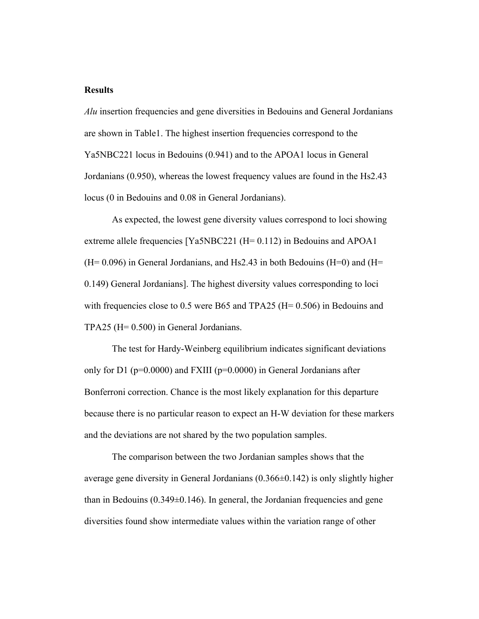### **Results**

*Alu* insertion frequencies and gene diversities in Bedouins and General Jordanians are shown in Table1. The highest insertion frequencies correspond to the Ya5NBC221 locus in Bedouins (0.941) and to the APOA1 locus in General Jordanians (0.950), whereas the lowest frequency values are found in the Hs2.43 locus (0 in Bedouins and 0.08 in General Jordanians).

As expected, the lowest gene diversity values correspond to loci showing extreme allele frequencies [Ya5NBC221 (H= 0.112) in Bedouins and APOA1  $(H= 0.096)$  in General Jordanians, and Hs2.43 in both Bedouins  $(H=0)$  and  $(H=0)$ 0.149) General Jordanians]. The highest diversity values corresponding to loci with frequencies close to 0.5 were B65 and TPA25 ( $H= 0.506$ ) in Bedouins and TPA25 (H= 0.500) in General Jordanians.

The test for Hardy-Weinberg equilibrium indicates significant deviations only for D1 ( $p=0.0000$ ) and FXIII ( $p=0.0000$ ) in General Jordanians after Bonferroni correction. Chance is the most likely explanation for this departure because there is no particular reason to expect an H-W deviation for these markers and the deviations are not shared by the two population samples.

The comparison between the two Jordanian samples shows that the average gene diversity in General Jordanians (0.366±0.142) is only slightly higher than in Bedouins (0.349±0.146). In general, the Jordanian frequencies and gene diversities found show intermediate values within the variation range of other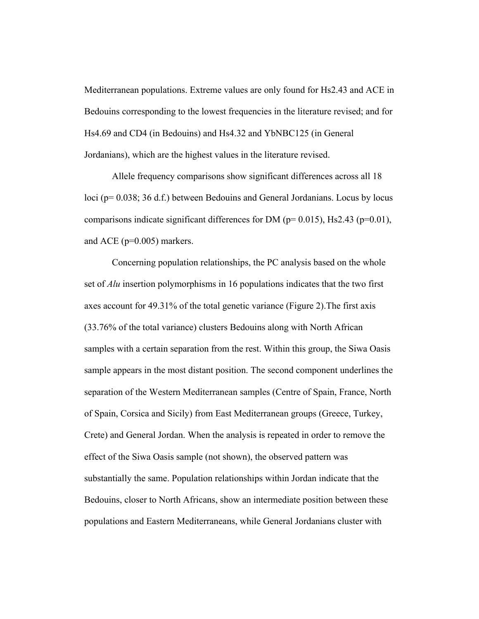Mediterranean populations. Extreme values are only found for Hs2.43 and ACE in Bedouins corresponding to the lowest frequencies in the literature revised; and for Hs4.69 and CD4 (in Bedouins) and Hs4.32 and YbNBC125 (in General Jordanians), which are the highest values in the literature revised.

Allele frequency comparisons show significant differences across all 18 loci (p= 0.038; 36 d.f.) between Bedouins and General Jordanians. Locus by locus comparisons indicate significant differences for DM ( $p= 0.015$ ), Hs2.43 ( $p=0.01$ ), and ACE (p=0.005) markers.

Concerning population relationships, the PC analysis based on the whole set of *Alu* insertion polymorphisms in 16 populations indicates that the two first axes account for 49.31% of the total genetic variance (Figure 2).The first axis (33.76% of the total variance) clusters Bedouins along with North African samples with a certain separation from the rest. Within this group, the Siwa Oasis sample appears in the most distant position. The second component underlines the separation of the Western Mediterranean samples (Centre of Spain, France, North of Spain, Corsica and Sicily) from East Mediterranean groups (Greece, Turkey, Crete) and General Jordan. When the analysis is repeated in order to remove the effect of the Siwa Oasis sample (not shown), the observed pattern was substantially the same. Population relationships within Jordan indicate that the Bedouins, closer to North Africans, show an intermediate position between these populations and Eastern Mediterraneans, while General Jordanians cluster with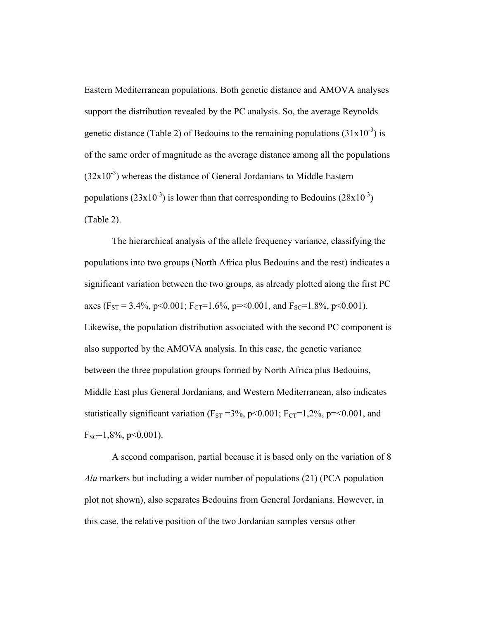Eastern Mediterranean populations. Both genetic distance and AMOVA analyses support the distribution revealed by the PC analysis. So, the average Reynolds genetic distance (Table 2) of Bedouins to the remaining populations  $(31x10^{-3})$  is of the same order of magnitude as the average distance among all the populations  $(32x10<sup>-3</sup>)$  whereas the distance of General Jordanians to Middle Eastern populations  $(23x10^{-3})$  is lower than that corresponding to Bedouins  $(28x10^{-3})$ (Table 2).

The hierarchical analysis of the allele frequency variance, classifying the populations into two groups (North Africa plus Bedouins and the rest) indicates a significant variation between the two groups, as already plotted along the first PC axes (F<sub>ST</sub> = 3.4%, p<0.001; F<sub>CT</sub>=1.6%, p=<0.001, and F<sub>SC</sub>=1.8%, p<0.001). Likewise, the population distribution associated with the second PC component is also supported by the AMOVA analysis. In this case, the genetic variance between the three population groups formed by North Africa plus Bedouins, Middle East plus General Jordanians, and Western Mediterranean, also indicates statistically significant variation ( $F_{ST} = 3\%$ , p<0.001;  $F_{CT} = 1,2\%$ , p=<0.001, and  $F_{SC} = 1,8\%$ , p<0.001).

A second comparison, partial because it is based only on the variation of 8 *Alu* markers but including a wider number of populations (21) (PCA population plot not shown), also separates Bedouins from General Jordanians. However, in this case, the relative position of the two Jordanian samples versus other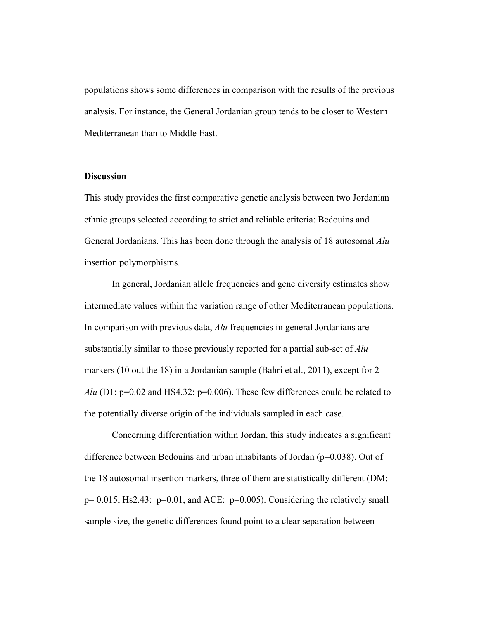populations shows some differences in comparison with the results of the previous analysis. For instance, the General Jordanian group tends to be closer to Western Mediterranean than to Middle East.

### **Discussion**

This study provides the first comparative genetic analysis between two Jordanian ethnic groups selected according to strict and reliable criteria: Bedouins and General Jordanians. This has been done through the analysis of 18 autosomal *Alu* insertion polymorphisms.

In general, Jordanian allele frequencies and gene diversity estimates show intermediate values within the variation range of other Mediterranean populations. In comparison with previous data, *Alu* frequencies in general Jordanians are substantially similar to those previously reported for a partial sub-set of *Alu* markers (10 out the 18) in a Jordanian sample (Bahri et al., 2011), except for 2 *Alu* (D1: p=0.02 and HS4.32: p=0.006). These few differences could be related to the potentially diverse origin of the individuals sampled in each case.

Concerning differentiation within Jordan, this study indicates a significant difference between Bedouins and urban inhabitants of Jordan (p=0.038). Out of the 18 autosomal insertion markers, three of them are statistically different (DM:  $p= 0.015$ , Hs2.43:  $p=0.01$ , and ACE:  $p=0.005$ ). Considering the relatively small sample size, the genetic differences found point to a clear separation between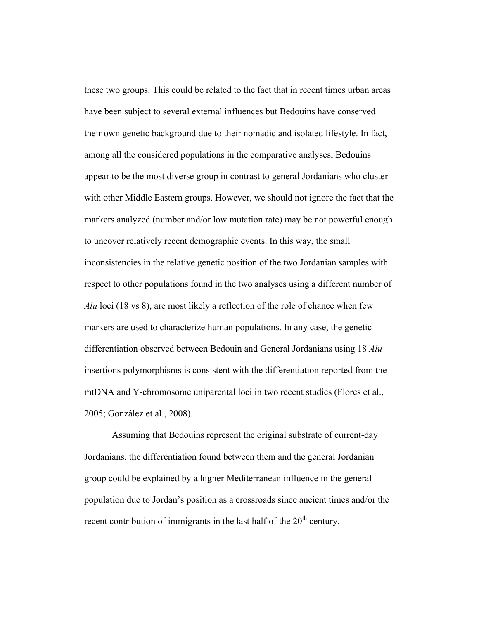these two groups. This could be related to the fact that in recent times urban areas have been subject to several external influences but Bedouins have conserved their own genetic background due to their nomadic and isolated lifestyle. In fact, among all the considered populations in the comparative analyses, Bedouins appear to be the most diverse group in contrast to general Jordanians who cluster with other Middle Eastern groups. However, we should not ignore the fact that the markers analyzed (number and/or low mutation rate) may be not powerful enough to uncover relatively recent demographic events. In this way, the small inconsistencies in the relative genetic position of the two Jordanian samples with respect to other populations found in the two analyses using a different number of *Alu* loci (18 vs 8), are most likely a reflection of the role of chance when few markers are used to characterize human populations. In any case, the genetic differentiation observed between Bedouin and General Jordanians using 18 *Alu*  insertions polymorphisms is consistent with the differentiation reported from the mtDNA and Y-chromosome uniparental loci in two recent studies (Flores et al., 2005; González et al., 2008).

Assuming that Bedouins represent the original substrate of current-day Jordanians, the differentiation found between them and the general Jordanian group could be explained by a higher Mediterranean influence in the general population due to Jordan's position as a crossroads since ancient times and/or the recent contribution of immigrants in the last half of the  $20<sup>th</sup>$  century.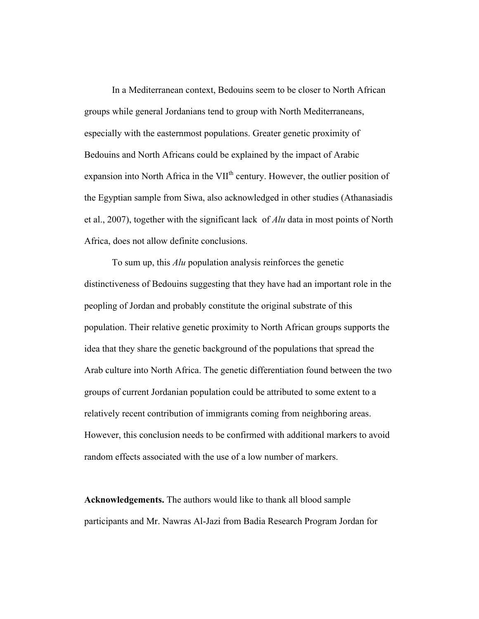In a Mediterranean context, Bedouins seem to be closer to North African groups while general Jordanians tend to group with North Mediterraneans, especially with the easternmost populations. Greater genetic proximity of Bedouins and North Africans could be explained by the impact of Arabic expansion into North Africa in the VII<sup>th</sup> century. However, the outlier position of the Egyptian sample from Siwa, also acknowledged in other studies (Athanasiadis et al., 2007), together with the significant lack of *Alu* data in most points of North Africa, does not allow definite conclusions.

To sum up, this *Alu* population analysis reinforces the genetic distinctiveness of Bedouins suggesting that they have had an important role in the peopling of Jordan and probably constitute the original substrate of this population. Their relative genetic proximity to North African groups supports the idea that they share the genetic background of the populations that spread the Arab culture into North Africa. The genetic differentiation found between the two groups of current Jordanian population could be attributed to some extent to a relatively recent contribution of immigrants coming from neighboring areas. However, this conclusion needs to be confirmed with additional markers to avoid random effects associated with the use of a low number of markers.

**Acknowledgements.** The authors would like to thank all blood sample participants and Mr. Nawras Al-Jazi from Badia Research Program Jordan for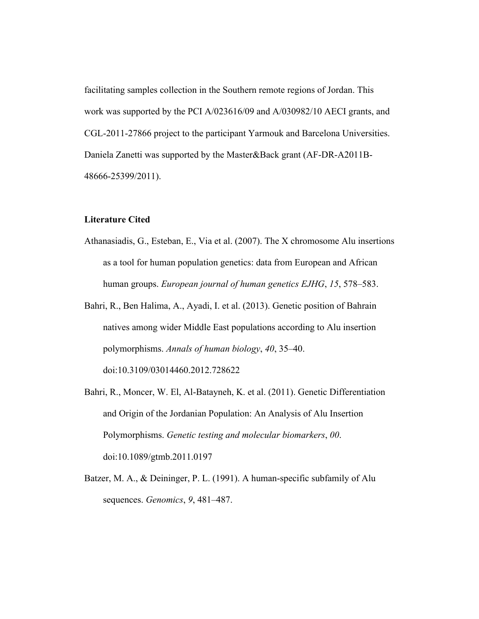facilitating samples collection in the Southern remote regions of Jordan. This work was supported by the PCI A/023616/09 and A/030982/10 AECI grants, and CGL-2011-27866 project to the participant Yarmouk and Barcelona Universities. Daniela Zanetti was supported by the Master&Back grant (AF-DR-A2011B-48666-25399/2011).

### **Literature Cited**

- Athanasiadis, G., Esteban, E., Via et al. (2007). The X chromosome Alu insertions as a tool for human population genetics: data from European and African human groups. *European journal of human genetics EJHG*, *15*, 578–583.
- Bahri, R., Ben Halima, A., Ayadi, I. et al. (2013). Genetic position of Bahrain natives among wider Middle East populations according to Alu insertion polymorphisms. *Annals of human biology*, *40*, 35–40. doi:10.3109/03014460.2012.728622
- Bahri, R., Moncer, W. El, Al-Batayneh, K. et al. (2011). Genetic Differentiation and Origin of the Jordanian Population: An Analysis of Alu Insertion Polymorphisms. *Genetic testing and molecular biomarkers*, *00*. doi:10.1089/gtmb.2011.0197
- Batzer, M. A., & Deininger, P. L. (1991). A human-specific subfamily of Alu sequences. *Genomics*, *9*, 481–487.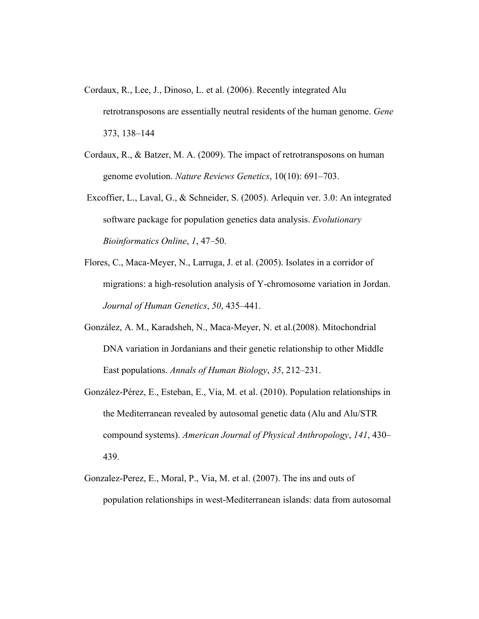- Cordaux, R., Lee, J., Dinoso, L. et al. (2006). Recently integrated Alu retrotransposons are essentially neutral residents of the human genome. *Gene* 373, 138–144
- Cordaux, R., & Batzer, M. A. (2009). The impact of retrotransposons on human genome evolution. *Nature Reviews Genetics*, 10(10): 691–703.
- Excoffier, L., Laval, G., & Schneider, S. (2005). Arlequin ver. 3.0: An integrated software package for population genetics data analysis. *Evolutionary Bioinformatics Online*, *1*, 47–50.
- Flores, C., Maca-Meyer, N., Larruga, J. et al. (2005). Isolates in a corridor of migrations: a high-resolution analysis of Y-chromosome variation in Jordan. *Journal of Human Genetics*, *50*, 435–441.
- González, A. M., Karadsheh, N., Maca-Meyer, N. et al.(2008). Mitochondrial DNA variation in Jordanians and their genetic relationship to other Middle East populations. *Annals of Human Biology*, *35*, 212–231.
- González-Pérez, E., Esteban, E., Via, M. et al. (2010). Population relationships in the Mediterranean revealed by autosomal genetic data (Alu and Alu/STR compound systems). *American Journal of Physical Anthropology*, *141*, 430– 439.
- Gonzalez-Perez, E., Moral, P., Via, M. et al. (2007). The ins and outs of population relationships in west-Mediterranean islands: data from autosomal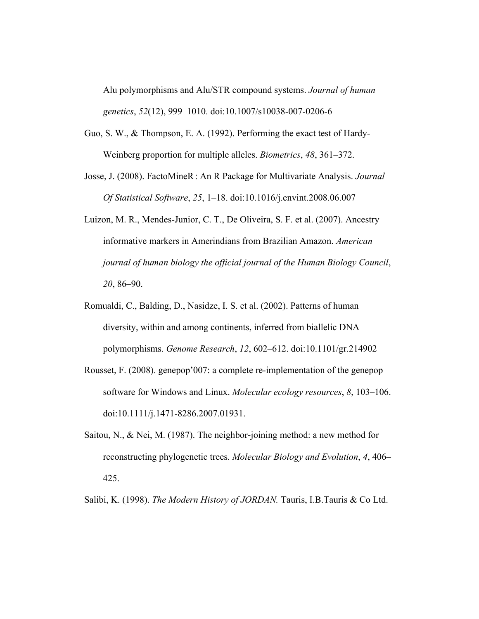Alu polymorphisms and Alu/STR compound systems. *Journal of human genetics*, *52*(12), 999–1010. doi:10.1007/s10038-007-0206-6

- Guo, S. W., & Thompson, E. A. (1992). Performing the exact test of Hardy-Weinberg proportion for multiple alleles. *Biometrics*, *48*, 361–372.
- Josse, J. (2008). FactoMineR: An R Package for Multivariate Analysis. *Journal Of Statistical Software*, *25*, 1–18. doi:10.1016/j.envint.2008.06.007
- Luizon, M. R., Mendes-Junior, C. T., De Oliveira, S. F. et al. (2007). Ancestry informative markers in Amerindians from Brazilian Amazon. *American journal of human biology the official journal of the Human Biology Council*, *20*, 86–90.
- Romualdi, C., Balding, D., Nasidze, I. S. et al. (2002). Patterns of human diversity, within and among continents, inferred from biallelic DNA polymorphisms. *Genome Research*, *12*, 602–612. doi:10.1101/gr.214902
- Rousset, F. (2008). genepop'007: a complete re-implementation of the genepop software for Windows and Linux. *Molecular ecology resources*, *8*, 103–106. doi:10.1111/j.1471-8286.2007.01931.
- Saitou, N., & Nei, M. (1987). The neighbor-joining method: a new method for reconstructing phylogenetic trees. *Molecular Biology and Evolution*, *4*, 406– 425.

Salibi, K. (1998). *The Modern History of JORDAN.* Tauris, I.B.Tauris & Co Ltd.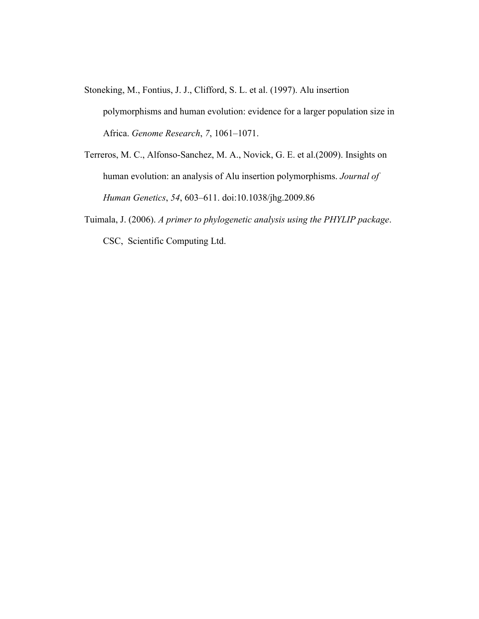- Stoneking, M., Fontius, J. J., Clifford, S. L. et al. (1997). Alu insertion polymorphisms and human evolution: evidence for a larger population size in Africa. *Genome Research*, *7*, 1061–1071.
- Terreros, M. C., Alfonso-Sanchez, M. A., Novick, G. E. et al.(2009). Insights on human evolution: an analysis of Alu insertion polymorphisms. *Journal of Human Genetics*, *54*, 603–611. doi:10.1038/jhg.2009.86
- Tuimala, J. (2006). *A primer to phylogenetic analysis using the PHYLIP package*. CSC, Scientific Computing Ltd.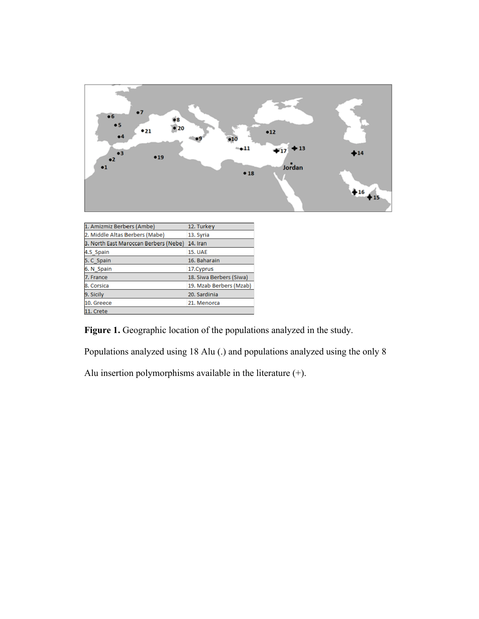

| 1. Amizmiz Berbers (Ambe)             | 12. Turkey              |
|---------------------------------------|-------------------------|
| 2. Middle Altas Berbers (Mabe)        | 13. Syria               |
| 3. North East Maroccan Berbers (Nebe) | 14. Iran                |
| 4.S Spain                             | <b>15. UAE</b>          |
| 5. C Spain                            | 16. Baharain            |
| 6. N Spain                            | 17. Cyprus              |
| 7. France                             | 18. Siwa Berbers (Siwa) |
| 8. Corsica                            | 19. Mzab Berbers (Mzab) |
| 9. Sicily                             | 20. Sardinia            |
| 10. Greece                            | 21. Menorca             |
| 11. Crete                             |                         |
|                                       |                         |

**Figure 1.** Geographic location of the populations analyzed in the study.

Populations analyzed using 18 Alu (.) and populations analyzed using the only 8

Alu insertion polymorphisms available in the literature (+).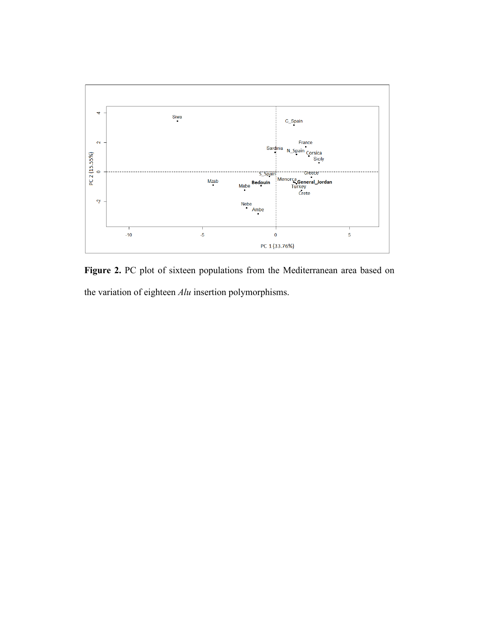

Figure 2. PC plot of sixteen populations from the Mediterranean area based on the variation of eighteen *Alu* insertion polymorphisms.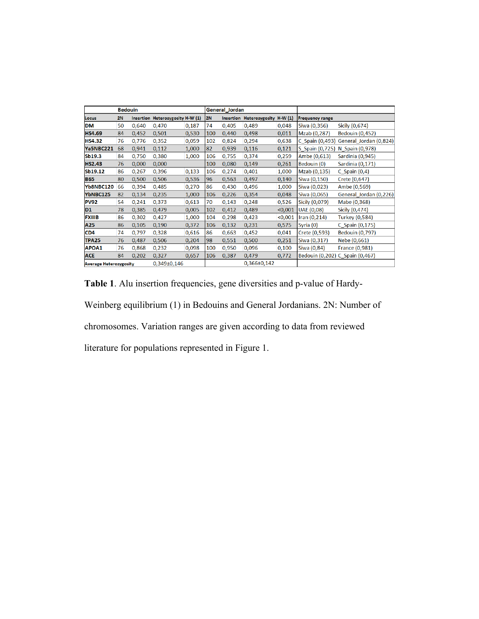|                               | <b>Bedouin</b> |                 |                                  |       |     | General_Jordan    |                          |          |                        |                                        |  |
|-------------------------------|----------------|-----------------|----------------------------------|-------|-----|-------------------|--------------------------|----------|------------------------|----------------------------------------|--|
| Locus                         | 2N             |                 | Insertion Heterozygosity H-W (1) |       | 2N  |                   | Insertion Heterozygosity | $H-W(1)$ | <b>Frequency range</b> |                                        |  |
| <b>DM</b>                     | 50             | 0,640           | 0,470                            | 0,187 | 74  | 0,405             | 0,489                    | 0,048    | Siwa (0,356)           | Sicily (0,674)                         |  |
| <b>HS4.69</b>                 | 84             | 0,452           | 0,501                            | 0,530 | 100 | 0,440             | 0,498                    | 0,011    | Mzab (0,287)           | <b>Bedouin (0,452)</b>                 |  |
| <b>HS4.32</b>                 | 76             | 0,776           | 0,352                            | 0,059 | 102 | 0,824             | 0,294                    | 0,638    |                        | C_Spain (0,493) General_Jordan (0,824) |  |
| Ya5NBC221                     | 68             | 0,941           | 0,112                            | 1,000 | 82  | 0,939             | 0,116                    | 0,121    | S_Spain (0,725)        | N Spain (0,978)                        |  |
| Sb19.3                        | 84             | 0,750           | 0,380                            | 1,000 | 106 | 0,755             | 0,374                    | 0,259    | Ambe (0,613)           | Sardinia (0,945)                       |  |
| <b>HS2.43</b>                 | 76             | 0,000           | 0,000                            |       | 100 | 0,080             | 0,149                    | 0,261    | Bedouin (0)            | Sardinia (0,171)                       |  |
| Sb19.12                       | 86             | 0,267           | 0,396                            | 0,133 | 106 | 0,274             | 0,401                    | 1,000    | Mzab (0,135)           | $C_$ Spain (0,4)                       |  |
| <b>B65</b>                    | 80             | 0,500           | 0,506                            | 0,536 | 96  | 0,563             | 0,497                    | 0,140    | Siwa (0,150)           | Crete (0,647)                          |  |
| Yb8NBC120                     | 66             | 0,394           | 0,485                            | 0,270 | 86  | 0,430             | 0,496                    | 1,000    | Siwa (0,023)           | Ambe (0,569)                           |  |
| YbNBC125                      | 82             | 0.134           | 0,235                            | 1,000 | 106 | 0,226             | 0,354                    | 0,048    | Siwa (0,065)           | General_Jordan (0,226)                 |  |
| <b>PV92</b>                   | 54             | 0,241           | 0,373                            | 0,613 | 70  | 0,143             | 0,248                    | 0,526    | Sicily (0,079)         | Mabe (0,368)                           |  |
| D <sub>1</sub>                | 78             | 0,385           | 0,479                            | 0,005 | 102 | 0,412             | 0,489                    | < 0,001  | <b>UAE (0,08)</b>      | Sicily (0,474)                         |  |
| <b>FXIIIB</b>                 | 86             | 0,302           | 0,427                            | 1,000 | 104 | 0,298             | 0,423                    | < 0,001  | Iran $(0, 214)$        | <b>Turkey (0,584)</b>                  |  |
| A25                           | 86             | 0,105           | 0,190                            | 0,372 | 106 | 0,132             | 0,231                    | 0,575    | Syria (0)              | C_Spain (0,175)                        |  |
| CD <sub>4</sub>               | 74             | 0,797           | 0,328                            | 0,616 | 86  | 0,663             | 0,452                    | 0,041    | Crete (0,593)          | <b>Bedouin (0,797)</b>                 |  |
| <b>TPA25</b>                  | 76             | 0,487           | 0,506                            | 0,204 | 98  | 0,551             | 0,500                    | 0,251    | Siwa (0,317)           | Nebe (0,661)                           |  |
| APOA1                         | 76             | 0,868           | 0,232                            | 0,098 | 100 | 0,950             | 0,096                    | 0,100    | Siwa (0,84)            | <b>France (0,981)</b>                  |  |
| <b>ACE</b>                    | 84             | 0,202           | 0,327                            | 0,657 | 106 | 0,387             | 0,479                    | 0,772    |                        | Bedouin (0,202) C_Spain (0,467)        |  |
| <b>Average Heterozygosity</b> |                | $0,349\pm0,146$ |                                  |       |     | $0,366 \pm 0,142$ |                          |          |                        |                                        |  |

**Table 1**. Alu insertion frequencies, gene diversities and p-value of Hardy-

Weinberg equilibrium (1) in Bedouins and General Jordanians. 2N: Number of

chromosomes. Variation ranges are given according to data from reviewed

literature for populations represented in Figure 1.